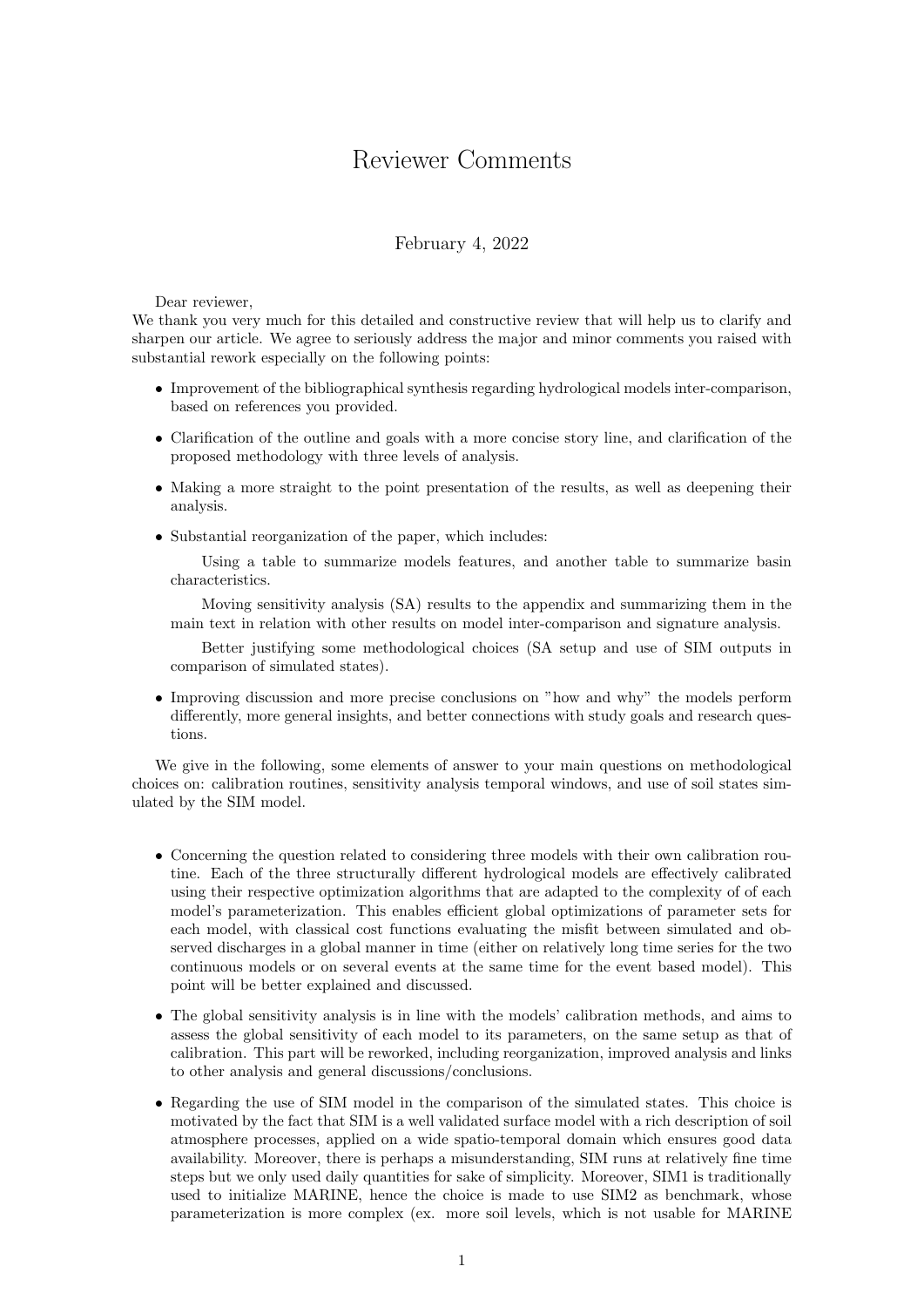## Reviewer Comments

## February 4, 2022

## Dear reviewer,

We thank you very much for this detailed and constructive review that will help us to clarify and sharpen our article. We agree to seriously address the major and minor comments you raised with substantial rework especially on the following points:

- Improvement of the bibliographical synthesis regarding hydrological models inter-comparison, based on references you provided.
- Clarification of the outline and goals with a more concise story line, and clarification of the proposed methodology with three levels of analysis.
- Making a more straight to the point presentation of the results, as well as deepening their analysis.
- Substantial reorganization of the paper, which includes:

Using a table to summarize models features, and another table to summarize basin characteristics.

Moving sensitivity analysis (SA) results to the appendix and summarizing them in the main text in relation with other results on model inter-comparison and signature analysis.

Better justifying some methodological choices (SA setup and use of SIM outputs in comparison of simulated states).

• Improving discussion and more precise conclusions on "how and why" the models perform differently, more general insights, and better connections with study goals and research questions.

We give in the following, some elements of answer to your main questions on methodological choices on: calibration routines, sensitivity analysis temporal windows, and use of soil states simulated by the SIM model.

- Concerning the question related to considering three models with their own calibration routine. Each of the three structurally different hydrological models are effectively calibrated using their respective optimization algorithms that are adapted to the complexity of of each model's parameterization. This enables efficient global optimizations of parameter sets for each model, with classical cost functions evaluating the misfit between simulated and observed discharges in a global manner in time (either on relatively long time series for the two continuous models or on several events at the same time for the event based model). This point will be better explained and discussed.
- The global sensitivity analysis is in line with the models' calibration methods, and aims to assess the global sensitivity of each model to its parameters, on the same setup as that of calibration. This part will be reworked, including reorganization, improved analysis and links to other analysis and general discussions/conclusions.
- Regarding the use of SIM model in the comparison of the simulated states. This choice is motivated by the fact that SIM is a well validated surface model with a rich description of soil atmosphere processes, applied on a wide spatio-temporal domain which ensures good data availability. Moreover, there is perhaps a misunderstanding, SIM runs at relatively fine time steps but we only used daily quantities for sake of simplicity. Moreover, SIM1 is traditionally used to initialize MARINE, hence the choice is made to use SIM2 as benchmark, whose parameterization is more complex (ex. more soil levels, which is not usable for MARINE